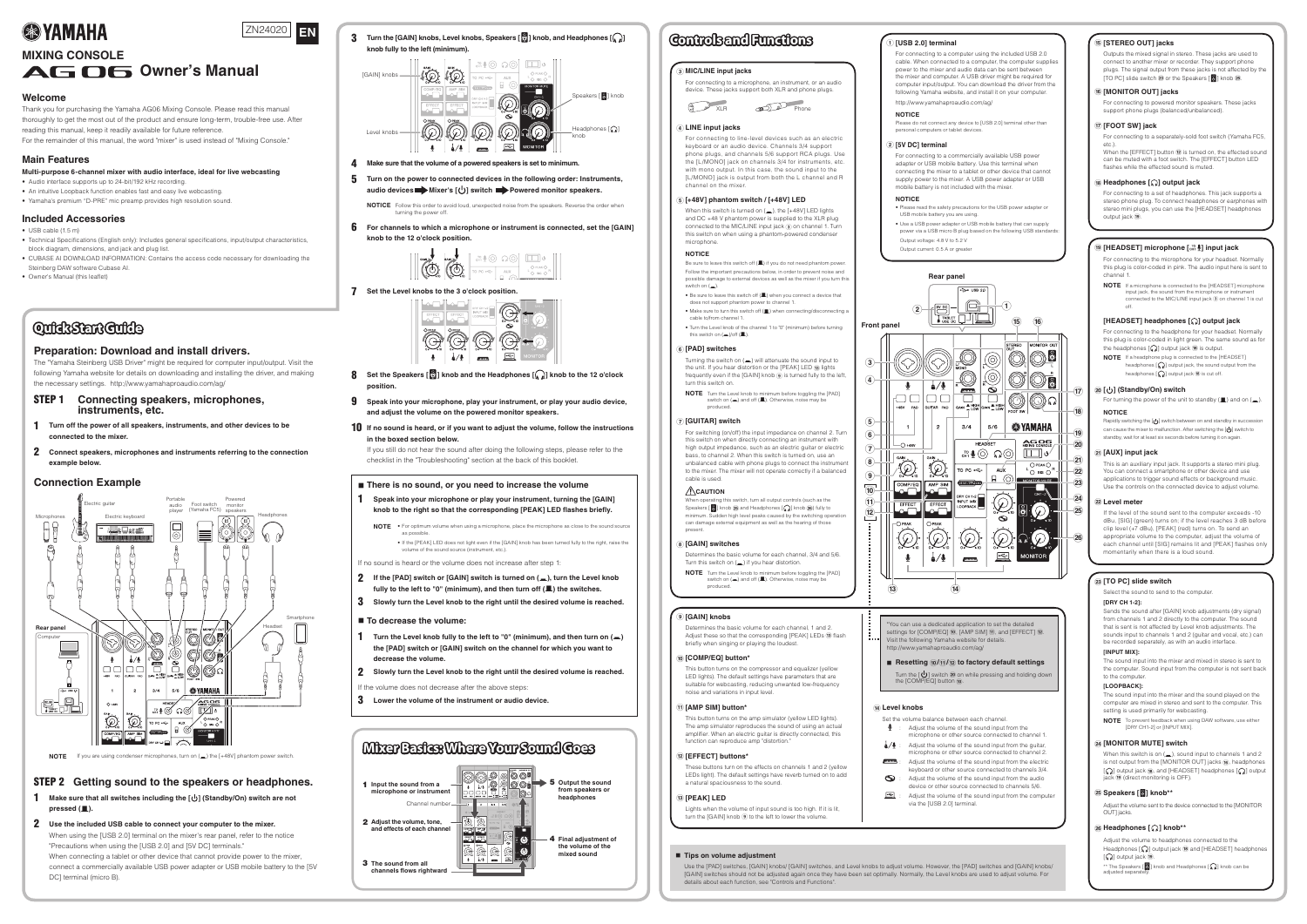## **Welcome**

Thank you for purchasing the Yamaha AG06 Mixing Console. Please read this manual thoroughly to get the most out of the product and ensure long-term, trouble-free use. After reading this manual, keep it readily available for future reference. For the remainder of this manual, the word "mixer" is used instead of "Mixing Console."

**Main Features** 

#### **Multi-purpose 6-channel mixer with audio interface, ideal for live webcasting**

- Audio interface supports up to 24-bit/192 kHz recording.
- An intuitive Loopback function enables fast and easy live webcasting. • Yamaha's premium "D-PRE" mic preamp provides high resolution sound.
- 

#### **Included Accessories**

- $\bullet$  USB cable (1.5 m)
- Technical Specifications (English only): Includes general specifications, input/output characteristics, block diagram, dimensions, and jack and plug list.
- CUBASE AI DOWNLOAD INFORMATION: Contains the access code necessary for downloading the Steinberg DAW software Cubase AI.
- Owner's Manual (this leaflet)

# **QuidkStart Guide**

## **Preparation: Download and install drivers.**

The "Yamaha Steinberg USB Driver" might be required for computer input/output. Visit the following Yamaha website for details on downloading and installing the driver, and making the necessary settings. http://www.yamahaproaudio.com/ag/

- **STEP 1** Connecting speakers, microphones, **instruments**, etc.
- **1** Turn off the power of all speakers, instruments, and other devices to be **connected** to the mixer
- **2** Connect speakers, microphones and instruments referring to the connection **example** below.

- **not are switch) On/Standby [ ] (the including switches all that sure Make** 1 **.(**N **(pressed**
- **2** Use the included USB cable to connect your computer to the mixer. When using the [USB 2.0] terminal on the mixer's rear panel, refer to the notice "Precautions when using the [USB 2.0] and [5V DC] terminals." When connecting a tablet or other device that cannot provide power to the mixer, connect a commercially available USB power adapter or USB mobile battery to the [5V DC] terminal (micro B).
- **4** Make sure that the volume of a powered speakers is set to minimum.
- **5** Turn on the power to connected devices in the following order: Instruments, **.speakers monitor Powered switch [ ] s'Mixer devices audio**

**NOTICE** Follow this order to avoid loud, unexpected noise from the speakers. Reverse the order when turning the power off.

**h for** channels to which a microphone or instrument is connected, set the [GAIN] **knob** to the 12 o'clock position.



**7** Set the Level knobs to the 3 o'clock position.



- **clock'o <sup>12</sup> the to knob [ ] Headphones the and knob [ ] Speakers the Set** 8 **.position**
- **9** Speak into your microphone, play your instrument, or play your audio device, **.speakers monitor powered the on volume the adjust and**
- **if lf** no sound is heard, or if you want to adjust the volume, follow the instructions  $\mathbf{b}$  in the boxed section below.

If you still do not hear the sound after doing the following steps, please refer to the checklist in the "Troubleshooting" section at the back of this booklet.

#### ■ There is no sound, or you need to increase the volume

**1** Speak into your microphone or play your instrument, turning the [GAIN] **knob** to the right so that the corresponding [PEAK] LED flashes briefly.

**NOTE** • For optimum volume when using a microphone, place the microphone as close to the sound source as possible • If the [PEAK] LED does not light even if the [GAIN] knob has been turned fully to the right, raise the

volume of the sound source (instrument, etc.).

If no sound is heard or the volume does not increase after step 1:

- **kn hz lf** the [PAD] switch or [GAIN] switch is turned on (<sub>a</sub>), turn the Level knob **fully to the left to "0" (minimum), and then turn off (** $\blacksquare$ **) the switches.**
- **3** Slowly turn the Level knob to the right until the desired volume is reached.
- **To** decrease the volume:
- **(**<sup>O</sup> **(on turn then and ,)minimum" (0 "to left the to fully knob Level the Turn** 1 **the [PAD] switch or [GAIN] switch on the channel for which you want to .volume the decrease**

**2** Slowly turn the Level knob to the right until the desired volume is reached.

- If the volume does not decrease after the above steps:
- **3** Lower the volume of the instrument or audio device.

## **Example Connection**



NOTE If you are using condenser microphones, turn on (=) the [+48V] phantom power switch.

## **STEP 2** Getting sound to the speakers or headphones.

**[ ] Headphones and ,knob [ ] Speakers ,knobs Level ,knobs] GAIN [the Turn** 3 **knob** fully to the left (minimum)



When this switch is turned on  $($ , the  $[+48V]$  LED lights and DC  $+48$  V phantom power is supplied to the XLR plug connected to the MIC/LINE input jack 3 on channel 1. Turn this switch on when using a phantom-powered condenser .microphone

 to input sound the attenuate will) O (on switch the Turning the unit. If you hear distortion or the [PEAK] LED (3) lights frequently even if the [GAIN] knob  $\circledast$  is turned fully to the left, turn this switch on.

**NOTE** Turn the Level knob to minimum before toggling the [PAD] switch on  $($ , and off  $($  $\blacksquare)$ . Otherwise, noise may be .produced

#### **(7) [GUITAR]** switch

For switching (on/off) the input impedance on channel 2. Turn this switch on when directly connecting an instrument with high output impedance, such as an electric guitar or electric bass, to channel 2. When this switch is turned on, use an unbalanced cable with phone plugs to connect the instrument to the mixer. The mixer will not operate correctly if a balanced cable is used.

#### **CAUTION**

When operating this switch, turn all output controls (such as the Speakers  $\lbrack\mathcal{O}\rbrack$  knob  $\mathfrak B$  and Headphones  $\lbrack\mathcal{O}\rbrack$  knob  $\mathfrak B$  fully to minimum. Sudden high level peaks caused by the switching operation can damage external equipment as well as the hearing of those present.

#### **8**) [GAIN] switches

Determines the basic volume for each channel, 3/4 and 5/6. Turn this switch on  $($ ,  $)$  if you hear distortion

**NOTE** Turn the Level knob to minimum before toggling the [PAD] switch on  $(\blacksquare)$  and off  $(\blacksquare)$ . Otherwise, noise may be .produced

#### **(9) [GAIN]** knobs

Determines the basic volume for each channel, 1 and 2. Adjust these so that the corresponding [PEAK] LEDs (13) flash briefly when singing or playing the loudest.

#### $\omega$  [COMP/EQ] button\*

This button turns on the compressor and equalizer (yellow LED lights). The default settings have parameters that are suitable for webcasting, reducing unwanted low-frequency noise and variations in input level

#### $\widehat{H}$  [AMP SIM] button<sup>\*</sup>

This button turns on the amp simulator (yellow LED lights). The amp simulator reproduces the sound of using an actual amplifier. When an electric quitar is directly connected, this function can reproduce amp "distortion."

#### $\widehat{a}$  [EFFECT] buttons<sup>\*</sup>

 $\blacksquare$  Tips on volume adjustment

These buttons turn on the effects on channels 1 and 2 (yellow LEDs light). The default settings have reverb turned on to add a natural spaciousness to the sound

#### **13** [PEAK] LED

Lights when the volume of input sound is too high. If it is lit, turn the [GAIN] knob  $\circledast$  to the left to lower the volume.

For connecting to a computer using the included USB 2.0 cable. When connected to a computer the computer supplies power to the mixer and audio data can be sent between the mixer and computer. A USB driver might be required for computer input/output. You can download the driver from the following Yamaha website, and install it on your computer. http://www.yamahaproaudio.com/ag/

> For turning the power of the unit to standby  $(\blacksquare)$  and on  $(\blacksquare)$ . **NOTICE**

Rapidly switching the  $[\bigcup]$  switch between on and standby in succession can cause the mixer to malfunction. After switching the  $[\bigcup]$  switch to standby, wait for at least six seconds before turning it on again.

#### $\widehat{a}$  [AUX] input jack

This is an auxiliary input jack. It supports a stereo mini plug. You can connect a smartphone or other device and use applications to trigger sound effects or background music. Use the controls on the connected device to adjust volume.

#### $\widehat{22}$  Level meter

If the level of the sound sent to the computer exceeds -10 dBu, [SIG] (green) turns on; if the level reaches 3 dB before clip level (+7 dBu), [PEAK] (red) turns on. To send an appropriate volume to the computer, adjust the volume of each channel until [SIG] remains lit and [PEAK] flashes only momentarily when there is a loud sound.

#### $\mathbb{E}[S]$  **Slide** switch

Select the sound to send to the computer.

#### **IDRY CH 1-21:**

Sends the sound after [GAIN] knob adjustments (dry signal) from channels 1 and 2 directly to the computer. The sound that is sent is not affected by Level knob adjustments. The sounds input to channels 1 and 2 (guitar and vocal, etc.) can be recorded separately, as with an audio interface.

#### **[INPUT MIX]:**

The sound input into the mixer and mixed in stereo is sent to the computer. Sound input from the computer is not sent back to the computer

#### $[LOOPBACK]$

The sound input into the mixer and the sound played on the computer are mixed in stereo and sent to the computer. This setting is used primarily for webcasting.

**NOTE** To prevent feedback when using DAW software, use either

[DRY CH1-2] or [INPUT MIX].

#### **8** [MONITOR MUTE] switch

When this switch is on  $($ <sub> $)$ </sub>), sound input to channels 1 and 2 is not output from the IMONITOR OUTI jacks (6), headphones  $\lbrack \bigcirc \rbrack$  output jack  $\circledast$ , and [HEADSET] headphones  $\lbrack \bigcirc \rbrack$  output jack ® (direct monitoring is OFF).

#### **25 Speakers [8] knob\*\***

Adjust the volume sent to the device connected to the [MONITOR OUTI jacks

#### $\circledR$  Headphones [  $\circledR$  ] knob\*\*

Adjust the volume to headphones connected to the Headphones  $[\Omega]$  output jack  $\omega$  and [HEADSET] headphones  $\lbrack \bigcirc \right)$  output jack  $\lbrack \circ \circ \rangle$ .

\*\* The Speakers  $\lbrack\!\lbrack\mathop{\otimes}\limits^{\infty}\rbrack\!\rbrack$  knob can be adjusted separately.

Use the [PAD] switches, [GAIN] knobs/ [GAIN] switches, and Level knobs to adjust volume. However, the [PAD] switches and [GAIN] knobs/ [GAIN] switches should not be adjusted again once they have been set optimally. Normally, the Level knobs are used to adjust volume. For details about each function, see "Controls and Functions".

# **EXPENDING A STRANGE**



# **MIXING CONSOLE**

# AG OG Owner's Manual

#### **NOTICE**

Please do not connect any device to [USB 2.0] terminal other than personal computers or tablet devices

#### **2** [5V DC] terminal

For connecting to a commercially available USB power adapter or USB mobile battery. Use this terminal when connecting the mixer to a tablet or other device that cannot supply power to the mixer. A USB power adapter or USB mobile battery is not included with the mixer

#### **NOTICE**

• Please read the safety precautions for the USB power adapter or USB mobile battery you are using.

- Use a USB power adapter or USB mobile battery that can supply power via a USB micro B plug based on the following USB standards Output voltage: 4.8 V to 5.2 V
- Output current: 0.5 A or greater



#### *a* LINE input jacks

For connecting to line-level devices such as an electric keyboard or an audio device. Channels 3/4 support phone plugs, and channels 5/6 support RCA plugs. Use the [L/MONO] jack on channels 3/4 for instruments. etc. with mono output. In this case, the sound input to the [L/MONO] jack is output from both the L channel and R channel on the mixer.

#### **LED] V+48 [/ switch phantom] V+48 [**5

#### **NOTICE**

Be sure to leave this switch off  $(\blacksquare)$  if you do not need phantom power. Follow the important precautions below, in order to prevent noise and possible damage to external devices as well as the mixer if you turn this switch on  $($ .

 $\bullet$  Be sure to leave this switch off ( $\blacksquare$ ) when you connect a device that does not support phantom power to channel • Make sure to turn this switch off ( $\blacksquare$ ) when connecting/disconnecting a

cable to/from channel 1 • Turn the Level knob of the channel 1 to "0" (minimum) before turning

this switch on  $(\underline{\blacksquare})$ /off $(\underline{\blacksquare})$ 

#### **s**) **[PAD**] switches

#### **switch) On/Standby [ ] (**A



You can use a dedicated application to set the detailed settings for  $[COMP/EQ]$  ( $\widehat{\mathbf{0}}$ ),  $[AMP SIM]$   $\widehat{\mathbf{H}}$ ), and  $[EFFECT]$   $\widehat{\mathbf{R}}$ ). Visit the following Yamaha website for details. http://www.yamahaproaudio.com/aq/

#### $\blacksquare$  Resetting  $\omega$ / $\omega$ / $\omega$  to factory default settings

Turn the  $[\bigcup]$  switch  $\omega$  on while pressing and holding down the  $[COMP/EQ]$  button  $\omega$ .

#### $(h)$  Level knobs

- Set the volume balance between each channel.
- Adjust the volume of the sound input from the  $\downarrow$ microphone or other source connected to channel 1.
- $\frac{1}{4}$ / $\frac{1}{4}$  : Adjust the volume of the sound input from the quitar microphone or other source connected to channel 2
- $\mu$  m n m Adjust the volume of the sound input from the electric
- keyboard or other source connected to channels 3/4. Adjust the volume of the sound input from the audio  $\bigcirc$
- device or other source connected to channels 5/6. 鱼 Adjust the volume of the sound input from the computer
- via the IUSB 2.01 terminal.

#### $\mathbf{\widehat{B}}$  [STEREO OUT] jacks

Outputs the mixed signal in stereo. These jacks are used to connect to another mixer or recorder They support phone plugs. The signal output from these jacks is not affected by the [TO PC] slide switch  $\circledR$  or the Speakers  $[\circledR]$  knob  $\circledR$ .

#### $\widehat{a}$  [MONITOR OUT] jacks

For connecting to powered monitor speakers. These jacks support phone plugs (balanced/unbalanced).

#### **i** $\widehat{z}$  [FOOT SW] jack

For connecting to a separately-sold foot switch (Yamaha FC5, etc.).

When the  $[EFFECT]$  button  $\Omega$  is turned on, the effected sound can be muted with a foot switch. The [EFFECT] button LED flashes while the effected sound is muted.

#### **18 Headphones [** $\textcircled{1}$ **] output jack**

For connecting to a set of headphones. This jack supports a stereo phone plug. To connect headphones or earphones with stereo mini plugs, you can use the [HEADSET] headphones output jack (19).

#### $\widehat{B}$  [HEADSET] microphone [ $\widehat{B}$ ] input jack

For connecting to the microphone for your headset. Normally this plug is color-coded in pink. The audio input here is sent to channel 1

**NOTE** If a microphone is connected to the [HEADSET] microphone input jack, the sound from the microphone or instrument connected to the MIC/LINE input  $i$ ack  $\overline{a}$  on channel 1 is cut off.

#### **[HEADSET]** headphones  $\left[\sqrt{n}\right]$  output jack

For connecting to the headphone for your headset. Normally this plug is color-coded in light green. The same sound as for the headphones  $[$ ( $\Omega$ ) output jack  $\omega$  is output.

**NOTE** If a headphone plug is connected to the [HEADSET] headphones  $[\mathbf{Q}]$  output jack, the sound output from the headphones  $[$   $\Omega$  output jack  $@$  is cut off.



# **Controls and Functions**  $\bigcap_{[1] \text{USB 2.0] terminal}}$

#### **(3) MIC/LINE input jacks**

For connecting to a microphone, an instrument, or an audio device. These jacks support both XLR and phone plugs.